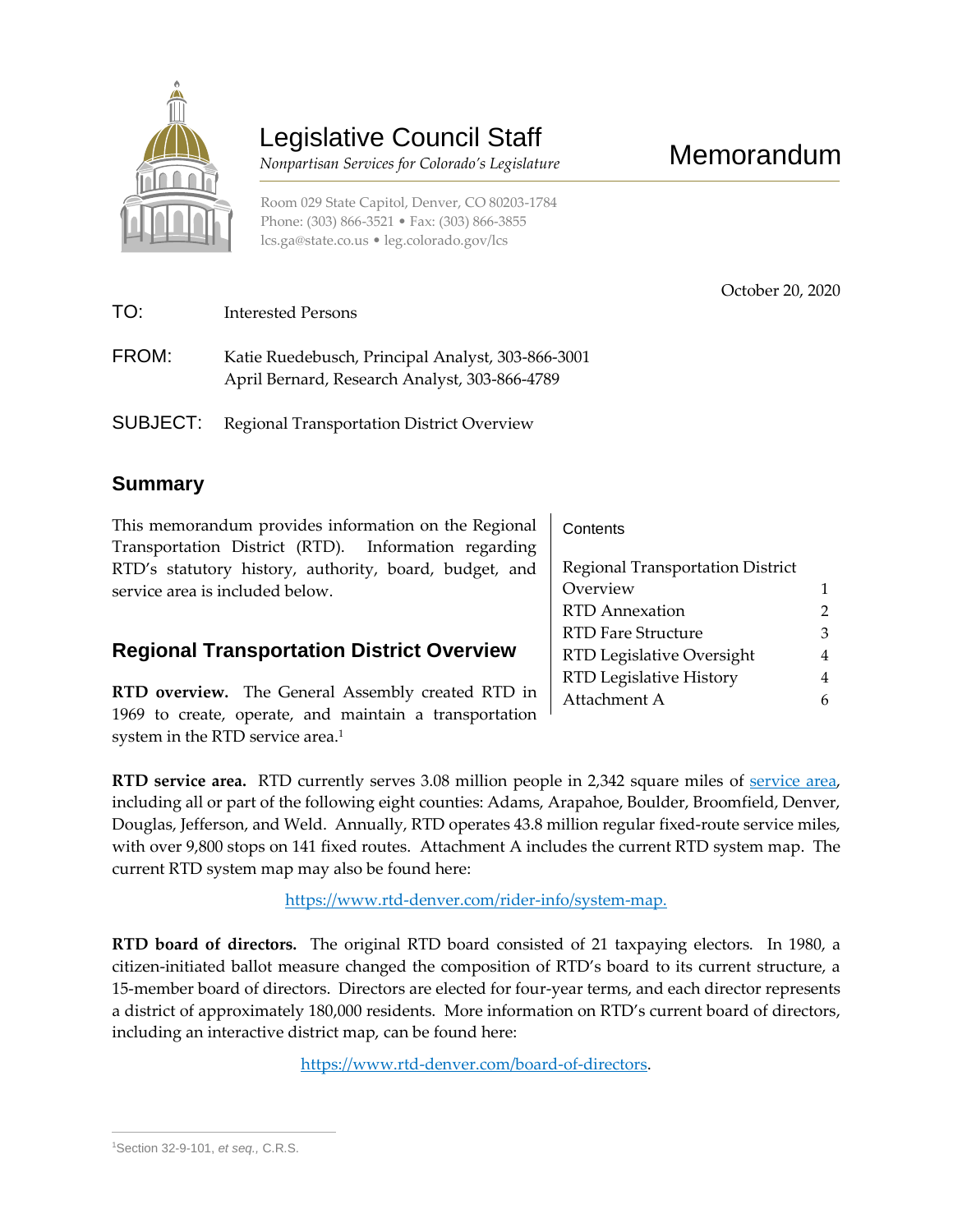

# Legislative Council Staff

 *Nonpartisan Services for Colorado's Legislature*

Room 029 State Capitol, Denver, CO 80203-1784 Phone: (303) 866-3521 • Fax: (303) 866-3855 [lcs.ga@state.co.us](mailto:lcs.ga@state.co.us) • [leg.colorado.gov/lcs](http://leg.colorado.gov/lcs)

| TO:   | Interested Persons                                                                                 |
|-------|----------------------------------------------------------------------------------------------------|
| FROM: | Katie Ruedebusch, Principal Analyst, 303-866-3001<br>April Bernard, Research Analyst, 303-866-4789 |
|       | <b>SUBJECT:</b> Regional Transportation District Overview                                          |

## **Summary**

This memorandum provides information on the Regional Transportation District (RTD). Information regarding RTD's statutory history, authority, board, budget, and service area is included below.

## **Regional Transportation District Overview**

**RTD overview.** The General Assembly created RTD in 1969 to create, operate, and maintain a transportation system in the RTD service area. $^{\rm 1}$ 

**Contents** 

| Regional Transportation District |   |  |  |  |
|----------------------------------|---|--|--|--|
| Overview                         |   |  |  |  |
| <b>RTD</b> Annexation            | 2 |  |  |  |
| RTD Fare Structure               | З |  |  |  |
| RTD Legislative Oversight        | 4 |  |  |  |
| RTD Legislative History          | 4 |  |  |  |
| Attachment A                     |   |  |  |  |
|                                  |   |  |  |  |

Memorandum

October 20, 2020

**RTD service area.** RTD currently serves 3.08 million people in 2,342 square miles of [service area,](https://www.rtd-denver.com/board-district-map) including all or part of the following eight counties: Adams, Arapahoe, Boulder, Broomfield, Denver, Douglas, Jefferson, and Weld. Annually, RTD operates 43.8 million regular fixed-route service miles, with over 9,800 stops on 141 fixed routes. Attachment A includes the current RTD system map. The current RTD system map may also be found here:

[https://www.rtd-denver.com/rider-info/system-map.](https://www.rtd-denver.com/rider-info/system-map)

**RTD board of directors.** The original RTD board consisted of 21 taxpaying electors. In 1980, a citizen-initiated ballot measure changed the composition of RTD's board to its current structure, a 15-member board of directors. Directors are elected for four-year terms, and each director represents a district of approximately 180,000 residents. More information on RTD's current board of directors, including an interactive district map, can be found here:

[https://www.rtd-denver.com/board-of-directors.](https://www.rtd-denver.com/board-of-directors)

 $\overline{a}$ <sup>1</sup>Section 32-9-101, *et seq.,* C.R.S.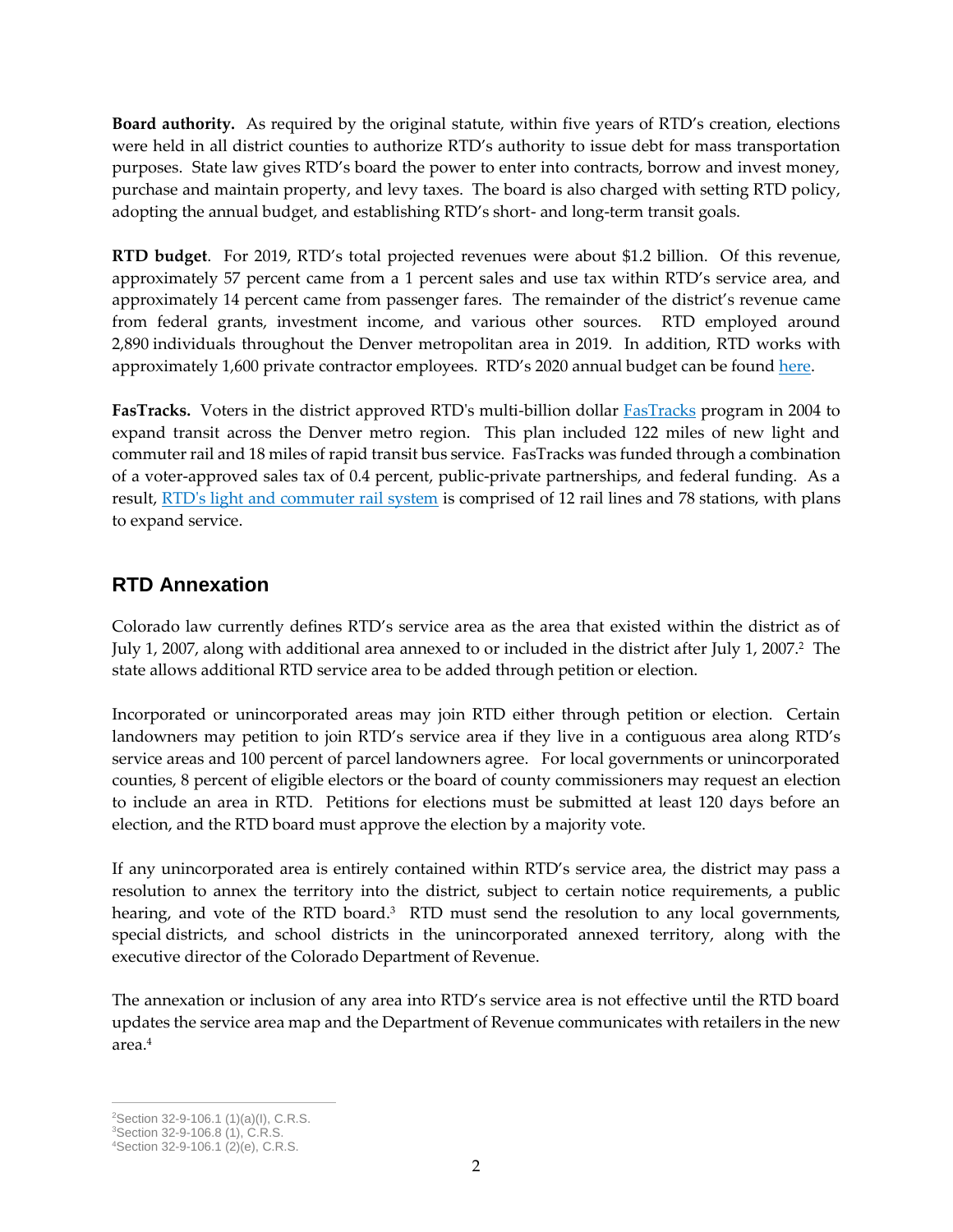**Board authority.** As required by the original statute, within five years of RTD's creation, elections were held in all district counties to authorize RTD's authority to issue debt for mass transportation purposes. State law gives RTD's board the power to enter into contracts, borrow and invest money, purchase and maintain property, and levy taxes. The board is also charged with setting RTD policy, adopting the annual budget, and establishing RTD's short- and long-term transit goals.

**RTD budget**. For 2019, RTD's total projected revenues were about \$1.2 billion. Of this revenue, approximately 57 percent came from a 1 percent sales and use tax within RTD's service area, and approximately 14 percent came from passenger fares. The remainder of the district's revenue came from federal grants, investment income, and various other sources. RTD employed around 2,890 individuals throughout the Denver metropolitan area in 2019. In addition, RTD works with approximately 1,600 private contractor employees. RTD's 2020 annual budget can be foun[d here.](http://www.rtd-denver.com/sites/default/files/files/2020-09/RTD-2020-Adopted-Budget.pdf)

FasTracks. Voters in the district approved RTD's multi-billion dollar **FasTracks** program in 2004 to expand transit across the Denver metro region. This plan included 122 miles of new light and commuter rail and 18 miles of rapid transit bus service. FasTracks was funded through a combination of a voter-approved sales tax of 0.4 percent, public-private partnerships, and federal funding. As a result, [RTD's light and commuter rail system](http://www.rtd-denver.com/lightrail.shtml) is comprised of 12 rail lines and 78 stations, with plans to expand service.

## **RTD Annexation**

Colorado law currently defines RTD's service area as the area that existed within the district as of July 1, 2007, along with additional area annexed to or included in the district after July 1, 2007. $^2$  The  $\,$ state allows additional RTD service area to be added through petition or election.

Incorporated or unincorporated areas may join RTD either through petition or election. Certain landowners may petition to join RTD's service area if they live in a contiguous area along RTD's service areas and 100 percent of parcel landowners agree. For local governments or unincorporated counties, 8 percent of eligible electors or the board of county commissioners may request an election to include an area in RTD. Petitions for elections must be submitted at least 120 days before an election, and the RTD board must approve the election by a majority vote.

If any unincorporated area is entirely contained within RTD's service area, the district may pass a resolution to annex the territory into the district, subject to certain notice requirements, a public hearing, and vote of the RTD board.<sup>3</sup> RTD must send the resolution to any local governments, special districts, and school districts in the unincorporated annexed territory, along with the executive director of the Colorado Department of Revenue.

The annexation or inclusion of any area into RTD's service area is not effective until the RTD board updates the service area map and the Department of Revenue communicates with retailers in the new area.<sup>4</sup>

 $\overline{a}$ 

<sup>2</sup>Section 32-9-106.1 (1)(a)(I), C.R.S.

<sup>3</sup>Section 32-9-106.8 (1), C.R.S.

<sup>4</sup>Section 32-9-106.1 (2)(e), C.R.S.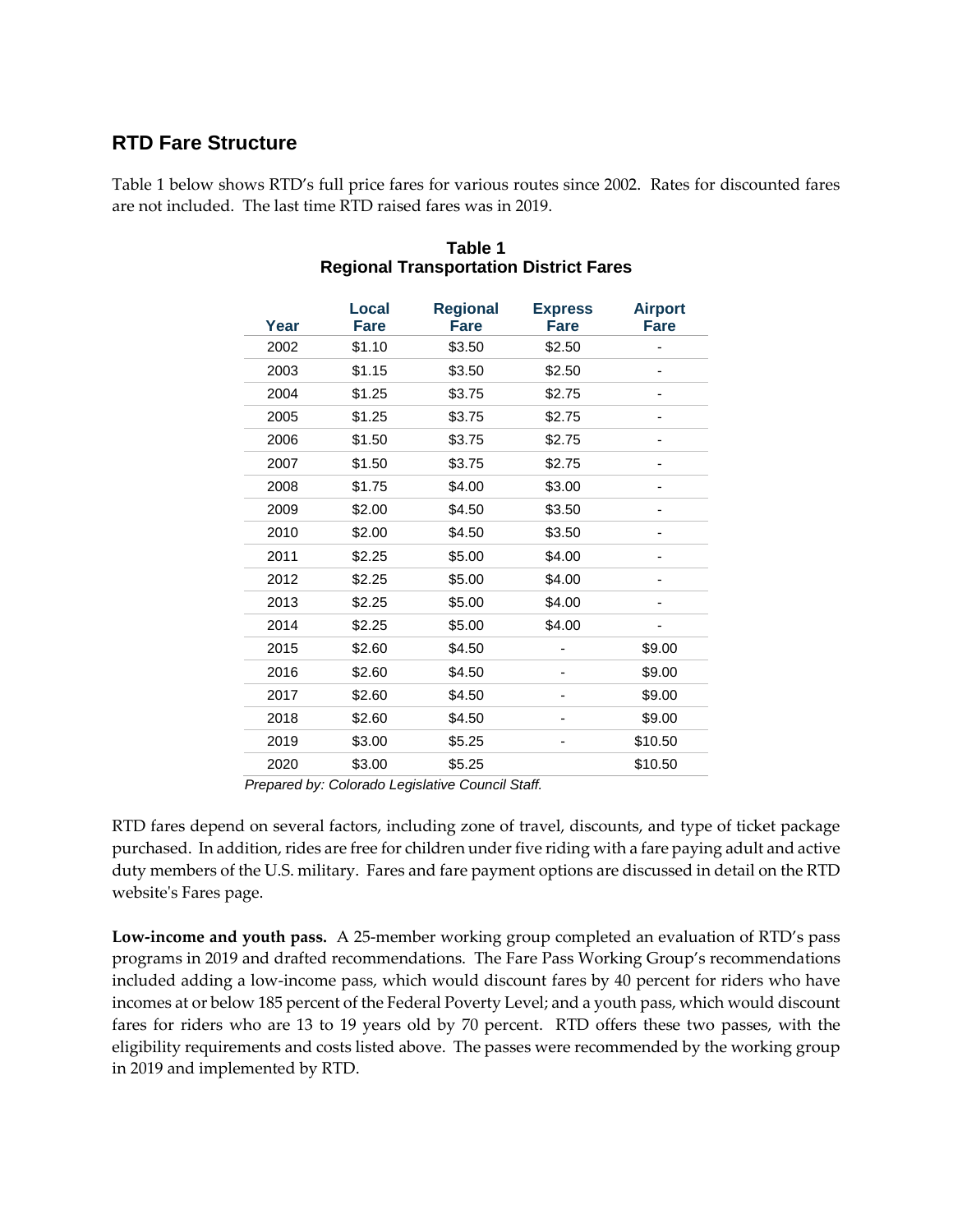#### **RTD Fare Structure**

Table 1 below shows RTD's full price fares for various routes since 2002. Rates for discounted fares are not included. The last time RTD raised fares was in 2019.

| Year | Local<br><b>Fare</b> | <b>Regional</b><br><b>Fare</b> | <b>Express</b><br><b>Fare</b> | <b>Airport</b><br><b>Fare</b> |
|------|----------------------|--------------------------------|-------------------------------|-------------------------------|
| 2002 | \$1.10               | \$3.50                         | \$2.50                        |                               |
| 2003 | \$1.15               | \$3.50                         | \$2.50                        |                               |
| 2004 | \$1.25               | \$3.75                         | \$2.75                        |                               |
| 2005 | \$1.25               | \$3.75                         | \$2.75                        |                               |
| 2006 | \$1.50               | \$3.75                         | \$2.75                        |                               |
| 2007 | \$1.50               | \$3.75                         | \$2.75                        |                               |
| 2008 | \$1.75               | \$4.00                         | \$3.00                        |                               |
| 2009 | \$2.00               | \$4.50                         | \$3.50                        |                               |
| 2010 | \$2.00               | \$4.50                         | \$3.50                        |                               |
| 2011 | \$2.25               | \$5.00                         | \$4.00                        |                               |
| 2012 | \$2.25               | \$5.00                         | \$4.00                        |                               |
| 2013 | \$2.25               | \$5.00                         | \$4.00                        | -                             |
| 2014 | \$2.25               | \$5.00                         | \$4.00                        |                               |
| 2015 | \$2.60               | \$4.50                         |                               | \$9.00                        |
| 2016 | \$2.60               | \$4.50                         |                               | \$9.00                        |
| 2017 | \$2.60               | \$4.50                         |                               | \$9.00                        |
| 2018 | \$2.60               | \$4.50                         |                               | \$9.00                        |
| 2019 | \$3.00               | \$5.25                         |                               | \$10.50                       |
| 2020 | \$3.00               | \$5.25                         |                               | \$10.50                       |

#### **Table 1 Regional Transportation District Fares**

*Prepared by: Colorado Legislative Council Staff.*

RTD fares depend on several factors, including zone of travel, discounts, and type of ticket package purchased. In addition, rides are free for children under five riding with a fare paying adult and active duty members of the U.S. military. Fares and fare payment options are discussed in detail on the RTD website's Fares page.

**Low-income and youth pass.** A 25-member working group completed an evaluation of RTD's pass programs in 2019 and drafted recommendations. The Fare Pass Working Group's recommendations included adding a low-income pass, which would discount fares by 40 percent for riders who have incomes at or below 185 percent of the Federal Poverty Level; and a youth pass, which would discount fares for riders who are 13 to 19 years old by 70 percent. RTD offers these two passes, with the eligibility requirements and costs listed above. The passes were recommended by the working group in 2019 and implemented by RTD.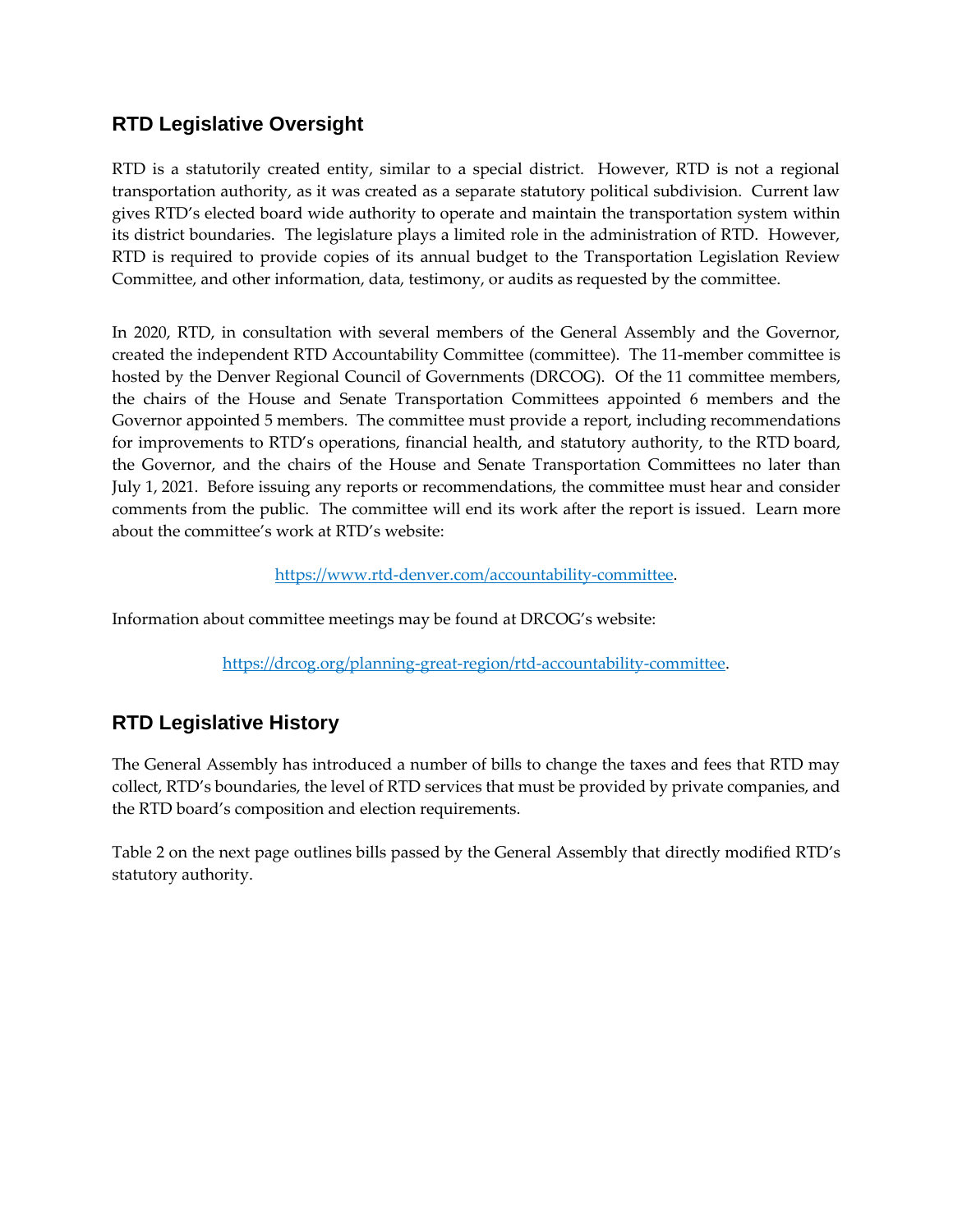## **RTD Legislative Oversight**

RTD is a statutorily created entity, similar to a special district. However, RTD is not a regional transportation authority, as it was created as a separate statutory political subdivision. Current law gives RTD's elected board wide authority to operate and maintain the transportation system within its district boundaries. The legislature plays a limited role in the administration of RTD. However, RTD is required to provide copies of its annual budget to the Transportation Legislation Review Committee, and other information, data, testimony, or audits as requested by the committee.

In 2020, RTD, in consultation with several members of the General Assembly and the Governor, created the independent RTD Accountability Committee (committee). The 11-member committee is hosted by the Denver Regional Council of Governments (DRCOG). Of the 11 committee members, the chairs of the House and Senate Transportation Committees appointed 6 members and the Governor appointed 5 members. The committee must provide a report, including recommendations for improvements to RTD's operations, financial health, and statutory authority, to the RTD board, the Governor, and the chairs of the House and Senate Transportation Committees no later than July 1, 2021. Before issuing any reports or recommendations, the committee must hear and consider comments from the public. The committee will end its work after the report is issued. Learn more about the committee's work at RTD's website:

#### [https://www.rtd-denver.com/accountability-committee.](https://www.rtd-denver.com/accountability-committee)

Information about committee meetings may be found at DRCOG's website:

[https://drcog.org/planning-great-region/rtd-accountability-committee.](https://drcog.org/planning-great-region/rtd-accountability-committee)

## **RTD Legislative History**

The General Assembly has introduced a number of bills to change the taxes and fees that RTD may collect, RTD's boundaries, the level of RTD services that must be provided by private companies, and the RTD board's composition and election requirements.

Table 2 on the next page outlines bills passed by the General Assembly that directly modified RTD's statutory authority.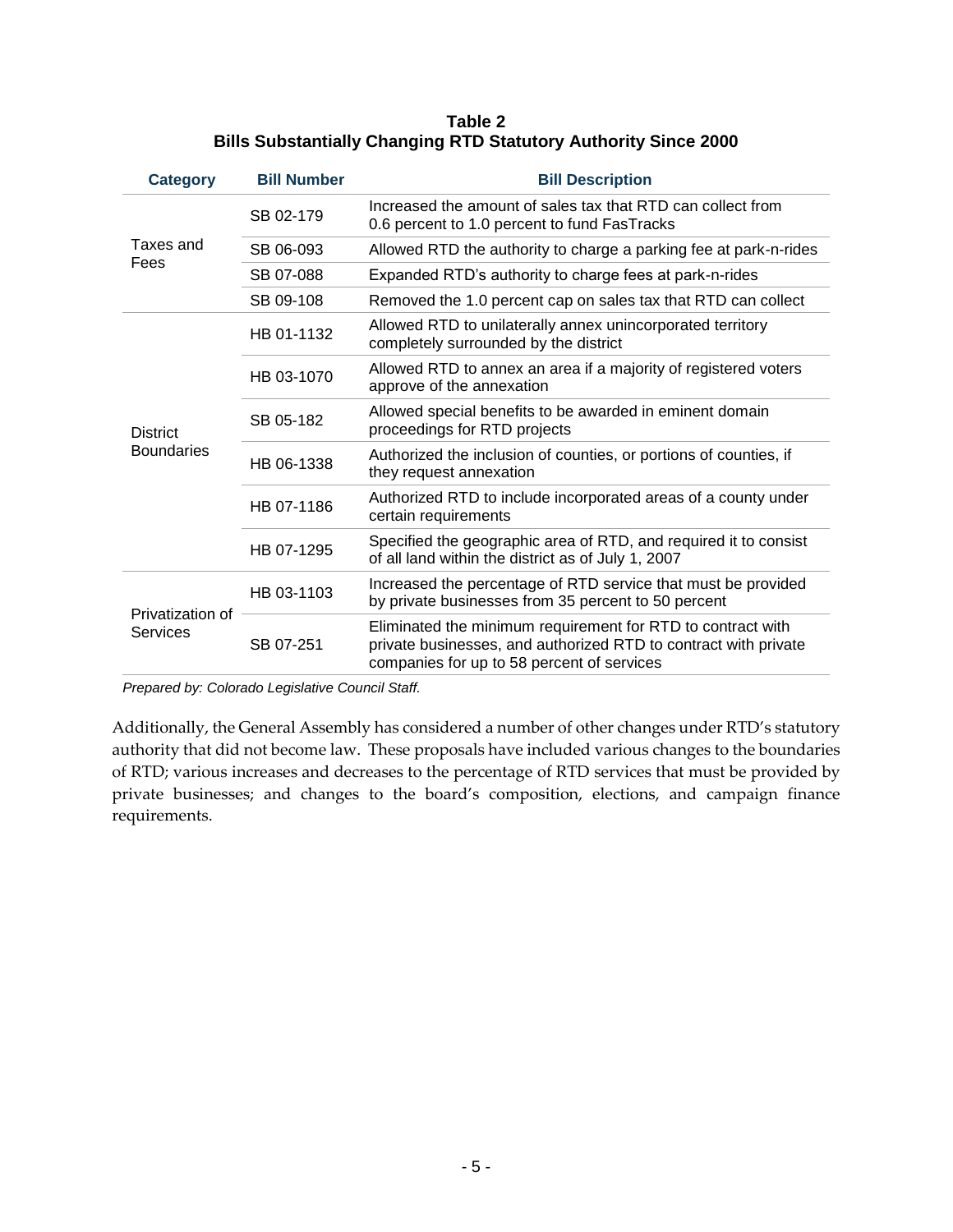#### **Table 2 Bills Substantially Changing RTD Statutory Authority Since 2000**

| <b>Category</b>                      | <b>Bill Number</b> | <b>Bill Description</b>                                                                                                                                                      |  |  |
|--------------------------------------|--------------------|------------------------------------------------------------------------------------------------------------------------------------------------------------------------------|--|--|
| Taxes and<br>Fees                    | SB 02-179          | Increased the amount of sales tax that RTD can collect from<br>0.6 percent to 1.0 percent to fund FasTracks                                                                  |  |  |
|                                      | SB 06-093          | Allowed RTD the authority to charge a parking fee at park-n-rides                                                                                                            |  |  |
|                                      | SB 07-088          | Expanded RTD's authority to charge fees at park-n-rides                                                                                                                      |  |  |
|                                      | SB 09-108          | Removed the 1.0 percent cap on sales tax that RTD can collect                                                                                                                |  |  |
| <b>District</b><br><b>Boundaries</b> | HB 01-1132         | Allowed RTD to unilaterally annex unincorporated territory<br>completely surrounded by the district                                                                          |  |  |
|                                      | HB 03-1070         | Allowed RTD to annex an area if a majority of registered voters<br>approve of the annexation                                                                                 |  |  |
|                                      | SB 05-182          | Allowed special benefits to be awarded in eminent domain<br>proceedings for RTD projects                                                                                     |  |  |
|                                      | HB 06-1338         | Authorized the inclusion of counties, or portions of counties, if<br>they request annexation                                                                                 |  |  |
|                                      | HB 07-1186         | Authorized RTD to include incorporated areas of a county under<br>certain requirements                                                                                       |  |  |
|                                      | HB 07-1295         | Specified the geographic area of RTD, and required it to consist<br>of all land within the district as of July 1, 2007                                                       |  |  |
| Privatization of<br>Services         | HB 03-1103         | Increased the percentage of RTD service that must be provided<br>by private businesses from 35 percent to 50 percent                                                         |  |  |
|                                      | SB 07-251          | Eliminated the minimum requirement for RTD to contract with<br>private businesses, and authorized RTD to contract with private<br>companies for up to 58 percent of services |  |  |

*Prepared by: Colorado Legislative Council Staff.*

Additionally, the General Assembly has considered a number of other changes under RTD's statutory authority that did not become law. These proposals have included various changes to the boundaries of RTD; various increases and decreases to the percentage of RTD services that must be provided by private businesses; and changes to the board's composition, elections, and campaign finance requirements.